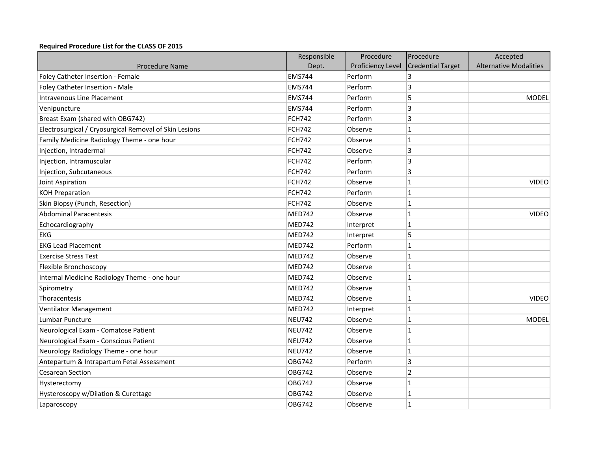## **Required Procedure List for the CLASS OF 2015**

|                                                        | Responsible   | Procedure                | Procedure                | Accepted                      |
|--------------------------------------------------------|---------------|--------------------------|--------------------------|-------------------------------|
| <b>Procedure Name</b>                                  | Dept.         | <b>Proficiency Level</b> | <b>Credential Target</b> | <b>Alternative Modalities</b> |
| Foley Catheter Insertion - Female                      | <b>EMS744</b> | Perform                  | 3                        |                               |
| Foley Catheter Insertion - Male                        | <b>EMS744</b> | Perform                  | 3                        |                               |
| Intravenous Line Placement                             | <b>EMS744</b> | Perform                  | 5                        | <b>MODEL</b>                  |
| Venipuncture                                           | <b>EMS744</b> | Perform                  | 3                        |                               |
| Breast Exam (shared with OBG742)                       | <b>FCH742</b> | Perform                  | $\overline{3}$           |                               |
| Electrosurgical / Cryosurgical Removal of Skin Lesions | <b>FCH742</b> | Observe                  | $\mathbf{1}$             |                               |
| Family Medicine Radiology Theme - one hour             | <b>FCH742</b> | Observe                  | $\mathbf{1}$             |                               |
| Injection, Intradermal                                 | <b>FCH742</b> | Observe                  | 3                        |                               |
| Injection, Intramuscular                               | <b>FCH742</b> | Perform                  | 3                        |                               |
| Injection, Subcutaneous                                | <b>FCH742</b> | Perform                  | 3                        |                               |
| Joint Aspiration                                       | <b>FCH742</b> | Observe                  | $\mathbf{1}$             | <b>VIDEO</b>                  |
| <b>KOH Preparation</b>                                 | <b>FCH742</b> | Perform                  | $\mathbf{1}$             |                               |
| Skin Biopsy (Punch, Resection)                         | <b>FCH742</b> | Observe                  | $\mathbf{1}$             |                               |
| <b>Abdominal Paracentesis</b>                          | <b>MED742</b> | Observe                  | $\mathbf{1}$             | <b>VIDEO</b>                  |
| Echocardiography                                       | MED742        | Interpret                | $\mathbf{1}$             |                               |
| <b>EKG</b>                                             | <b>MED742</b> | Interpret                | 5                        |                               |
| <b>EKG Lead Placement</b>                              | <b>MED742</b> | Perform                  | $\mathbf{1}$             |                               |
| <b>Exercise Stress Test</b>                            | <b>MED742</b> | Observe                  | $\mathbf{1}$             |                               |
| Flexible Bronchoscopy                                  | <b>MED742</b> | Observe                  | $\mathbf{1}$             |                               |
| Internal Medicine Radiology Theme - one hour           | <b>MED742</b> | Observe                  | $\mathbf{1}$             |                               |
| Spirometry                                             | <b>MED742</b> | Observe                  | $\mathbf{1}$             |                               |
| Thoracentesis                                          | <b>MED742</b> | Observe                  | $\mathbf{1}$             | <b>VIDEO</b>                  |
| Ventilator Management                                  | <b>MED742</b> | Interpret                | $\mathbf 1$              |                               |
| Lumbar Puncture                                        | <b>NEU742</b> | Observe                  | $\mathbf{1}$             | <b>MODEL</b>                  |
| Neurological Exam - Comatose Patient                   | <b>NEU742</b> | Observe                  | $\mathbf 1$              |                               |
| Neurological Exam - Conscious Patient                  | <b>NEU742</b> | Observe                  | $\mathbf{1}$             |                               |
| Neurology Radiology Theme - one hour                   | <b>NEU742</b> | Observe                  | $\mathbf{1}$             |                               |
| Antepartum & Intrapartum Fetal Assessment              | <b>OBG742</b> | Perform                  | 3                        |                               |
| <b>Cesarean Section</b>                                | <b>OBG742</b> | Observe                  | $\overline{2}$           |                               |
| Hysterectomy                                           | OBG742        | Observe                  | $\mathbf{1}$             |                               |
| Hysteroscopy w/Dilation & Curettage                    | <b>OBG742</b> | Observe                  | $\mathbf{1}$             |                               |
| Laparoscopy                                            | <b>OBG742</b> | Observe                  | $\mathbf{1}$             |                               |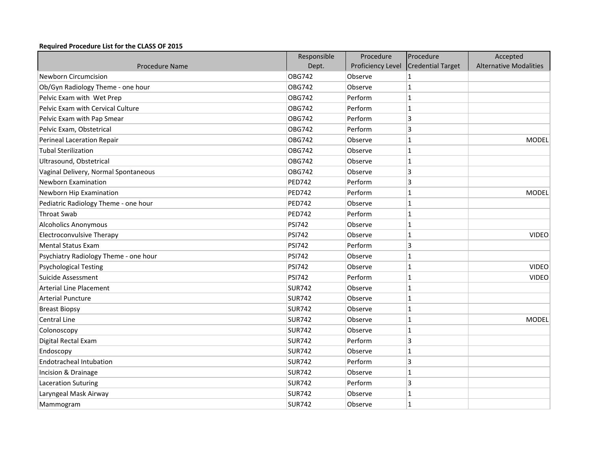## **Required Procedure List for the CLASS OF 2015**

|                                       | Responsible   | Procedure         | Procedure                | Accepted                      |
|---------------------------------------|---------------|-------------------|--------------------------|-------------------------------|
| <b>Procedure Name</b>                 | Dept.         | Proficiency Level | <b>Credential Target</b> | <b>Alternative Modalities</b> |
| <b>Newborn Circumcision</b>           | <b>OBG742</b> | Observe           | $\mathbf{1}$             |                               |
| Ob/Gyn Radiology Theme - one hour     | <b>OBG742</b> | Observe           | $\vert$ 1                |                               |
| Pelvic Exam with Wet Prep             | <b>OBG742</b> | Perform           | $\mathbf{1}$             |                               |
| Pelvic Exam with Cervical Culture     | <b>OBG742</b> | Perform           | $\vert$ 1                |                               |
| Pelvic Exam with Pap Smear            | <b>OBG742</b> | Perform           | 3                        |                               |
| Pelvic Exam, Obstetrical              | OBG742        | Perform           | 3                        |                               |
| Perineal Laceration Repair            | <b>OBG742</b> | Observe           | $\mathbf{1}$             | <b>MODEL</b>                  |
| <b>Tubal Sterilization</b>            | <b>OBG742</b> | Observe           | $\mathbf{1}$             |                               |
| Ultrasound, Obstetrical               | <b>OBG742</b> | Observe           | $\vert$ 1                |                               |
| Vaginal Delivery, Normal Spontaneous  | <b>OBG742</b> | Observe           | $\overline{3}$           |                               |
| <b>Newborn Examination</b>            | <b>PED742</b> | Perform           | 3                        |                               |
| Newborn Hip Examination               | <b>PED742</b> | Perform           | $\mathbf{1}$             | <b>MODEL</b>                  |
| Pediatric Radiology Theme - one hour  | <b>PED742</b> | Observe           | $\overline{1}$           |                               |
| <b>Throat Swab</b>                    | <b>PED742</b> | Perform           | $\overline{1}$           |                               |
| <b>Alcoholics Anonymous</b>           | <b>PSI742</b> | Observe           | $\vert$ 1                |                               |
| <b>Electroconvulsive Therapy</b>      | <b>PSI742</b> | Observe           | $\overline{1}$           | <b>VIDEO</b>                  |
| <b>Mental Status Exam</b>             | <b>PSI742</b> | Perform           | 3                        |                               |
| Psychiatry Radiology Theme - one hour | <b>PSI742</b> | Observe           | $\overline{1}$           |                               |
| <b>Psychological Testing</b>          | <b>PSI742</b> | Observe           | $\vert$ 1                | <b>VIDEO</b>                  |
| Suicide Assessment                    | <b>PSI742</b> | Perform           | $\mathbf{1}$             | <b>VIDEO</b>                  |
| <b>Arterial Line Placement</b>        | <b>SUR742</b> | Observe           | $\vert$ 1                |                               |
| <b>Arterial Puncture</b>              | <b>SUR742</b> | Observe           | $\mathbf{1}$             |                               |
| <b>Breast Biopsy</b>                  | <b>SUR742</b> | Observe           | $\vert$ 1                |                               |
| <b>Central Line</b>                   | <b>SUR742</b> | Observe           | $\vert$ 1                | <b>MODEL</b>                  |
| Colonoscopy                           | <b>SUR742</b> | Observe           | $\vert$ 1                |                               |
| Digital Rectal Exam                   | <b>SUR742</b> | Perform           | 3                        |                               |
| Endoscopy                             | <b>SUR742</b> | Observe           | $\mathbf{1}$             |                               |
| <b>Endotracheal Intubation</b>        | <b>SUR742</b> | Perform           | 3                        |                               |
| Incision & Drainage                   | <b>SUR742</b> | Observe           | $\vert$ 1                |                               |
| <b>Laceration Suturing</b>            | <b>SUR742</b> | Perform           | $\overline{3}$           |                               |
| Laryngeal Mask Airway                 | <b>SUR742</b> | Observe           | $\mathbf 1$              |                               |
| Mammogram                             | <b>SUR742</b> | Observe           | $\mathbf{1}$             |                               |